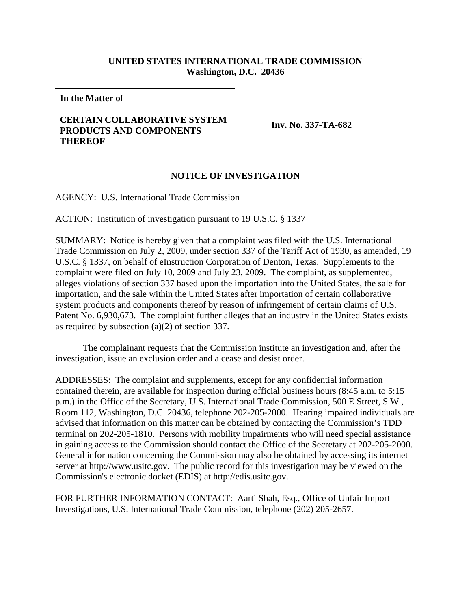## **UNITED STATES INTERNATIONAL TRADE COMMISSION Washington, D.C. 20436**

**In the Matter of**

## **CERTAIN COLLABORATIVE SYSTEM PRODUCTS AND COMPONENTS THEREOF**

**Inv. No. 337-TA-682**

## **NOTICE OF INVESTIGATION**

AGENCY: U.S. International Trade Commission

ACTION: Institution of investigation pursuant to 19 U.S.C. § 1337

SUMMARY: Notice is hereby given that a complaint was filed with the U.S. International Trade Commission on July 2, 2009, under section 337 of the Tariff Act of 1930, as amended, 19 U.S.C. § 1337, on behalf of eInstruction Corporation of Denton, Texas. Supplements to the complaint were filed on July 10, 2009 and July 23, 2009. The complaint, as supplemented, alleges violations of section 337 based upon the importation into the United States, the sale for importation, and the sale within the United States after importation of certain collaborative system products and components thereof by reason of infringement of certain claims of U.S. Patent No. 6,930,673. The complaint further alleges that an industry in the United States exists as required by subsection (a)(2) of section 337.

The complainant requests that the Commission institute an investigation and, after the investigation, issue an exclusion order and a cease and desist order.

ADDRESSES: The complaint and supplements, except for any confidential information contained therein, are available for inspection during official business hours (8:45 a.m. to 5:15 p.m.) in the Office of the Secretary, U.S. International Trade Commission, 500 E Street, S.W., Room 112, Washington, D.C. 20436, telephone 202-205-2000. Hearing impaired individuals are advised that information on this matter can be obtained by contacting the Commission's TDD terminal on 202-205-1810. Persons with mobility impairments who will need special assistance in gaining access to the Commission should contact the Office of the Secretary at 202-205-2000. General information concerning the Commission may also be obtained by accessing its internet server at http://www.usitc.gov. The public record for this investigation may be viewed on the Commission's electronic docket (EDIS) at http://edis.usitc.gov.

FOR FURTHER INFORMATION CONTACT: Aarti Shah, Esq., Office of Unfair Import Investigations, U.S. International Trade Commission, telephone (202) 205-2657.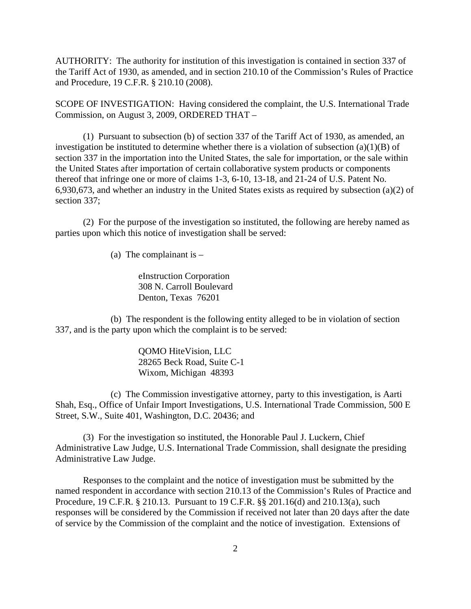AUTHORITY: The authority for institution of this investigation is contained in section 337 of the Tariff Act of 1930, as amended, and in section 210.10 of the Commission's Rules of Practice and Procedure, 19 C.F.R. § 210.10 (2008).

SCOPE OF INVESTIGATION: Having considered the complaint, the U.S. International Trade Commission, on August 3, 2009, ORDERED THAT –

(1) Pursuant to subsection (b) of section 337 of the Tariff Act of 1930, as amended, an investigation be instituted to determine whether there is a violation of subsection  $(a)(1)(B)$  of section 337 in the importation into the United States, the sale for importation, or the sale within the United States after importation of certain collaborative system products or components thereof that infringe one or more of claims 1-3, 6-10, 13-18, and 21-24 of U.S. Patent No. 6,930,673, and whether an industry in the United States exists as required by subsection (a)(2) of section 337;

(2) For the purpose of the investigation so instituted, the following are hereby named as parties upon which this notice of investigation shall be served:

(a) The complainant is  $-$ 

eInstruction Corporation 308 N. Carroll Boulevard Denton, Texas 76201

(b) The respondent is the following entity alleged to be in violation of section 337, and is the party upon which the complaint is to be served:

> QOMO HiteVision, LLC 28265 Beck Road, Suite C-1 Wixom, Michigan 48393

(c) The Commission investigative attorney, party to this investigation, is Aarti Shah, Esq., Office of Unfair Import Investigations, U.S. International Trade Commission, 500 E Street, S.W., Suite 401, Washington, D.C. 20436; and

(3) For the investigation so instituted, the Honorable Paul J. Luckern, Chief Administrative Law Judge, U.S. International Trade Commission, shall designate the presiding Administrative Law Judge.

Responses to the complaint and the notice of investigation must be submitted by the named respondent in accordance with section 210.13 of the Commission's Rules of Practice and Procedure, 19 C.F.R. § 210.13. Pursuant to 19 C.F.R. §§ 201.16(d) and 210.13(a), such responses will be considered by the Commission if received not later than 20 days after the date of service by the Commission of the complaint and the notice of investigation. Extensions of